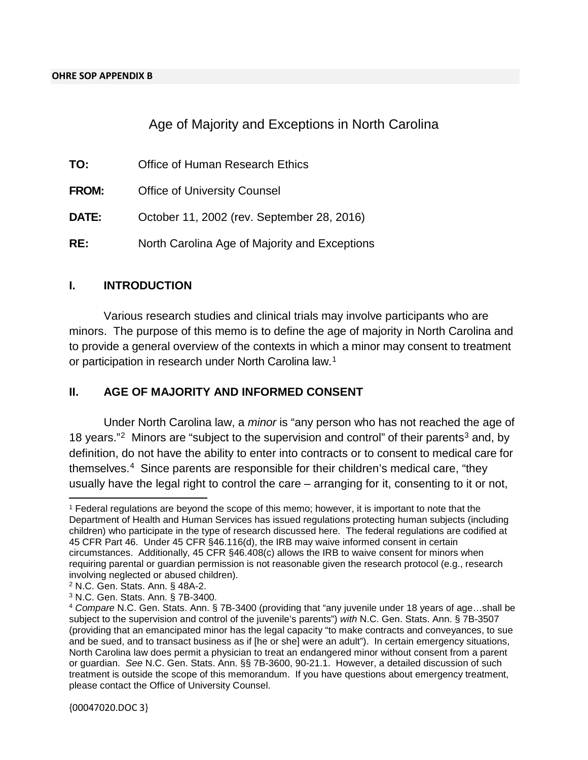### Age of Majority and Exceptions in North Carolina

| TO:          | Office of Human Research Ethics               |
|--------------|-----------------------------------------------|
| <b>FROM:</b> | <b>Office of University Counsel</b>           |
| <b>DATE:</b> | October 11, 2002 (rev. September 28, 2016)    |
| RE:          | North Carolina Age of Majority and Exceptions |

#### **I. INTRODUCTION**

Various research studies and clinical trials may involve participants who are minors. The purpose of this memo is to define the age of majority in North Carolina and to provide a general overview of the contexts in which a minor may consent to treatment or participation in research under North Carolina law.<sup>[1](#page-0-0)</sup>

#### **II. AGE OF MAJORITY AND INFORMED CONSENT**

Under North Carolina law, a *minor* is "any person who has not reached the age of 18 years."<sup>[2](#page-0-1)</sup> Minors are "subject to the supervision and control" of their parents<sup>[3](#page-0-2)</sup> and, by definition, do not have the ability to enter into contracts or to consent to medical care for themselves.[4](#page-0-3) Since parents are responsible for their children's medical care, "they usually have the legal right to control the care – arranging for it, consenting to it or not,

 $\overline{\phantom{a}}$ 

<span id="page-0-0"></span><sup>1</sup> Federal regulations are beyond the scope of this memo; however, it is important to note that the Department of Health and Human Services has issued regulations protecting human subjects (including children) who participate in the type of research discussed here. The federal regulations are codified at 45 CFR Part 46. Under 45 CFR §46.116(d), the IRB may waive informed consent in certain circumstances. Additionally, 45 CFR §46.408(c) allows the IRB to waive consent for minors when requiring parental or guardian permission is not reasonable given the research protocol (e.g., research involving neglected or abused children).

<span id="page-0-1"></span><sup>2</sup> N.C. Gen. Stats. Ann. § 48A-2.

<span id="page-0-2"></span><sup>3</sup> N.C. Gen. Stats. Ann. § 7B-3400.

<span id="page-0-3"></span><sup>4</sup> *Compare* N.C. Gen. Stats. Ann. § 7B-3400 (providing that "any juvenile under 18 years of age…shall be subject to the supervision and control of the juvenile's parents") *with* N.C. Gen. Stats. Ann. § 7B-3507 (providing that an emancipated minor has the legal capacity "to make contracts and conveyances, to sue and be sued, and to transact business as if [he or she] were an adult"). In certain emergency situations, North Carolina law does permit a physician to treat an endangered minor without consent from a parent or guardian. *See* N.C. Gen. Stats. Ann. §§ 7B-3600, 90-21.1. However, a detailed discussion of such treatment is outside the scope of this memorandum. If you have questions about emergency treatment, please contact the Office of University Counsel.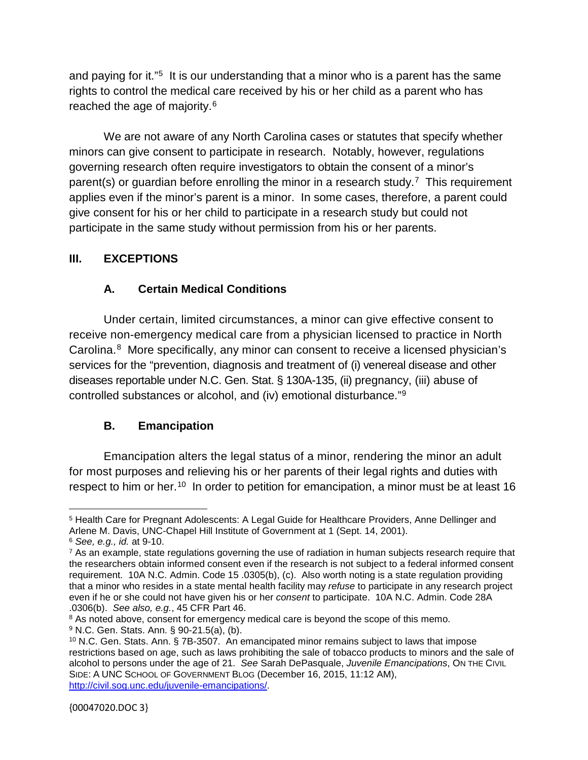and paying for it."<sup>5</sup> It is our understanding that a minor who is a parent has the same rights to control the medical care received by his or her child as a parent who has reached the age of majority.[6](#page-1-1)

We are not aware of any North Carolina cases or statutes that specify whether minors can give consent to participate in research. Notably, however, regulations governing research often require investigators to obtain the consent of a minor's parent(s) or guardian before enrolling the minor in a research study.<sup>7</sup> This requirement applies even if the minor's parent is a minor. In some cases, therefore, a parent could give consent for his or her child to participate in a research study but could not participate in the same study without permission from his or her parents.

## **III. EXCEPTIONS**

# **A. Certain Medical Conditions**

Under certain, limited circumstances, a minor can give effective consent to receive non-emergency medical care from a physician licensed to practice in North Carolina.[8](#page-1-3) More specifically, any minor can consent to receive a licensed physician's services for the "prevention, diagnosis and treatment of (i) venereal disease and other diseases reportable under N.C. Gen. Stat. § 130A-135, (ii) pregnancy, (iii) abuse of controlled substances or alcohol, and (iv) emotional disturbance."[9](#page-1-4)

# **B. Emancipation**

Emancipation alters the legal status of a minor, rendering the minor an adult for most purposes and relieving his or her parents of their legal rights and duties with respect to him or her.<sup>10</sup> In order to petition for emancipation, a minor must be at least 16

<span id="page-1-0"></span>l <sup>5</sup> Health Care for Pregnant Adolescents: A Legal Guide for Healthcare Providers, Anne Dellinger and Arlene M. Davis, UNC-Chapel Hill Institute of Government at 1 (Sept. 14, 2001).

<span id="page-1-1"></span><sup>6</sup> *See, e.g., id.* at 9-10.

<span id="page-1-2"></span><sup>&</sup>lt;sup>7</sup> As an example, state regulations governing the use of radiation in human subjects research require that the researchers obtain informed consent even if the research is not subject to a federal informed consent requirement. 10A N.C. Admin. Code 15 .0305(b), (c). Also worth noting is a state regulation providing that a minor who resides in a state mental health facility may *refuse* to participate in any research project even if he or she could not have given his or her *consent* to participate. 10A N.C. Admin. Code 28A .0306(b). *See also, e.g.*, 45 CFR Part 46.

<span id="page-1-3"></span><sup>&</sup>lt;sup>8</sup> As noted above, consent for emergency medical care is beyond the scope of this memo.

<span id="page-1-4"></span><sup>9</sup> N.C. Gen. Stats. Ann. § 90-21.5(a), (b).

<span id="page-1-5"></span><sup>10</sup> N.C. Gen. Stats. Ann. § 7B-3507. An emancipated minor remains subject to laws that impose restrictions based on age, such as laws prohibiting the sale of tobacco products to minors and the sale of alcohol to persons under the age of 21. *See* Sarah DePasquale, *Juvenile Emancipations*, ON THE CIVIL SIDE: A UNC SCHOOL OF GOVERNMENT BLOG (December 16, 2015, 11:12 AM), [http://civil.sog.unc.edu/juvenile-emancipations/.](http://civil.sog.unc.edu/juvenile-emancipations/)